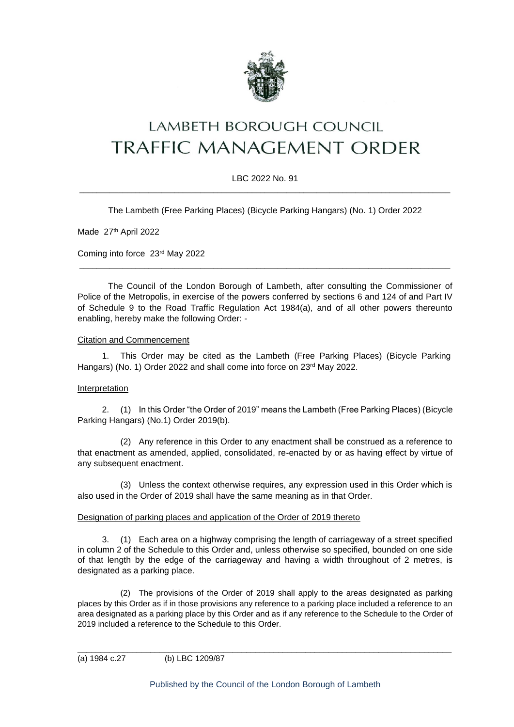

# **LAMBETH BOROUGH COUNCIL** TRAFFIC MANAGEMENT ORDER

## LBC 2022 No. 91 \_\_\_\_\_\_\_\_\_\_\_\_\_\_\_\_\_\_\_\_\_\_\_\_\_\_\_\_\_\_\_\_\_\_\_\_\_\_\_\_\_\_\_\_\_\_\_\_\_\_\_\_\_\_\_\_\_\_\_\_\_\_\_\_\_\_\_\_\_\_\_\_\_\_\_\_\_\_\_\_\_\_\_\_\_\_

The Lambeth (Free Parking Places) (Bicycle Parking Hangars) (No. 1) Order 2022

Made 27th April 2022

Coming into force 23rd May 2022

The Council of the London Borough of Lambeth, after consulting the Commissioner of Police of the Metropolis, in exercise of the powers conferred by sections 6 and 124 of and Part IV of Schedule 9 to the Road Traffic Regulation Act 1984(a), and of all other powers thereunto enabling, hereby make the following Order: -

\_\_\_\_\_\_\_\_\_\_\_\_\_\_\_\_\_\_\_\_\_\_\_\_\_\_\_\_\_\_\_\_\_\_\_\_\_\_\_\_\_\_\_\_\_\_\_\_\_\_\_\_\_\_\_\_\_\_\_\_\_\_\_\_\_\_\_\_\_\_\_\_\_\_\_\_\_\_\_\_\_\_\_\_\_\_

#### Citation and Commencement

1. This Order may be cited as the Lambeth (Free Parking Places) (Bicycle Parking Hangars) (No. 1) Order 2022 and shall come into force on 23rd May 2022.

#### Interpretation

2. (1) In this Order "the Order of 2019" means the Lambeth (Free Parking Places) (Bicycle Parking Hangars) (No.1) Order 2019(b).

(2) Any reference in this Order to any enactment shall be construed as a reference to that enactment as amended, applied, consolidated, re-enacted by or as having effect by virtue of any subsequent enactment.

(3) Unless the context otherwise requires, any expression used in this Order which is also used in the Order of 2019 shall have the same meaning as in that Order.

#### Designation of parking places and application of the Order of 2019 thereto

3. (1) Each area on a highway comprising the length of carriageway of a street specified in column 2 of the Schedule to this Order and, unless otherwise so specified, bounded on one side of that length by the edge of the carriageway and having a width throughout of 2 metres, is designated as a parking place.

(2) The provisions of the Order of 2019 shall apply to the areas designated as parking places by this Order as if in those provisions any reference to a parking place included a reference to an area designated as a parking place by this Order and as if any reference to the Schedule to the Order of 2019 included a reference to the Schedule to this Order.

(a) 1984 c.27 (b) LBC 1209/87

\_\_\_\_\_\_\_\_\_\_\_\_\_\_\_\_\_\_\_\_\_\_\_\_\_\_\_\_\_\_\_\_\_\_\_\_\_\_\_\_\_\_\_\_\_\_\_\_\_\_\_\_\_\_\_\_\_\_\_\_\_\_\_\_\_\_\_\_\_\_\_\_\_\_\_\_\_\_\_\_\_\_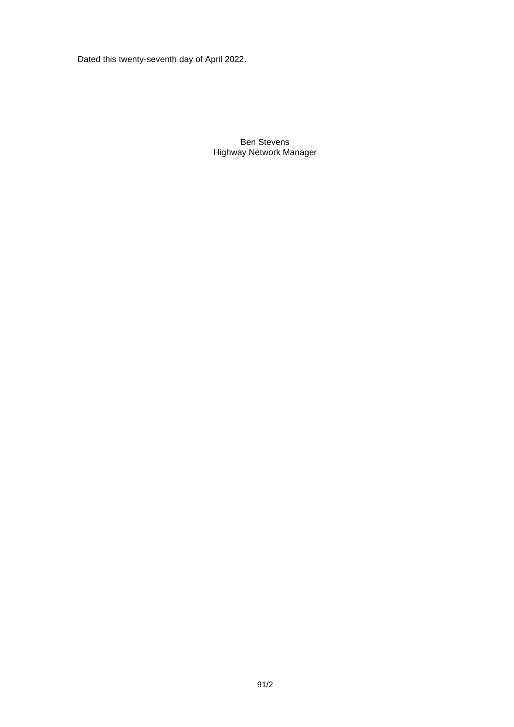Dated this twenty-seventh day of April 2022.

Ben Stevens Highway Network Manager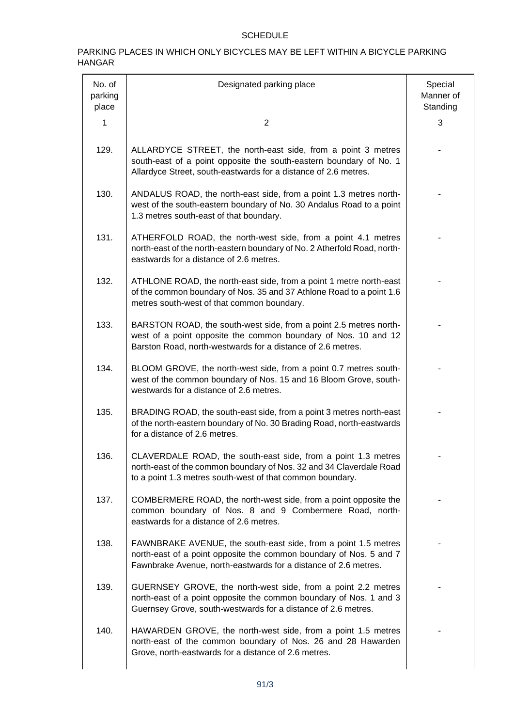# SCHEDULE

### PARKING PLACES IN WHICH ONLY BICYCLES MAY BE LEFT WITHIN A BICYCLE PARKING HANGAR

| No. of<br>parking<br>place | Designated parking place                                                                                                                                                                                | Special<br>Manner of<br>Standing |
|----------------------------|---------------------------------------------------------------------------------------------------------------------------------------------------------------------------------------------------------|----------------------------------|
| 1                          | $\overline{2}$                                                                                                                                                                                          | 3                                |
| 129.                       | ALLARDYCE STREET, the north-east side, from a point 3 metres<br>south-east of a point opposite the south-eastern boundary of No. 1<br>Allardyce Street, south-eastwards for a distance of 2.6 metres.   |                                  |
| 130.                       | ANDALUS ROAD, the north-east side, from a point 1.3 metres north-<br>west of the south-eastern boundary of No. 30 Andalus Road to a point<br>1.3 metres south-east of that boundary.                    |                                  |
| 131.                       | ATHERFOLD ROAD, the north-west side, from a point 4.1 metres<br>north-east of the north-eastern boundary of No. 2 Atherfold Road, north-<br>eastwards for a distance of 2.6 metres.                     |                                  |
| 132.                       | ATHLONE ROAD, the north-east side, from a point 1 metre north-east<br>of the common boundary of Nos. 35 and 37 Athlone Road to a point 1.6<br>metres south-west of that common boundary.                |                                  |
| 133.                       | BARSTON ROAD, the south-west side, from a point 2.5 metres north-<br>west of a point opposite the common boundary of Nos. 10 and 12<br>Barston Road, north-westwards for a distance of 2.6 metres.      |                                  |
| 134.                       | BLOOM GROVE, the north-west side, from a point 0.7 metres south-<br>west of the common boundary of Nos. 15 and 16 Bloom Grove, south-<br>westwards for a distance of 2.6 metres.                        |                                  |
| 135.                       | BRADING ROAD, the south-east side, from a point 3 metres north-east<br>of the north-eastern boundary of No. 30 Brading Road, north-eastwards<br>for a distance of 2.6 metres.                           |                                  |
| 136.                       | CLAVERDALE ROAD, the south-east side, from a point 1.3 metres<br>north-east of the common boundary of Nos. 32 and 34 Claverdale Road<br>to a point 1.3 metres south-west of that common boundary.       |                                  |
| 137.                       | COMBERMERE ROAD, the north-west side, from a point opposite the<br>common boundary of Nos. 8 and 9 Combermere Road, north-<br>eastwards for a distance of 2.6 metres.                                   |                                  |
| 138.                       | FAWNBRAKE AVENUE, the south-east side, from a point 1.5 metres<br>north-east of a point opposite the common boundary of Nos. 5 and 7<br>Fawnbrake Avenue, north-eastwards for a distance of 2.6 metres. |                                  |
| 139.                       | GUERNSEY GROVE, the north-west side, from a point 2.2 metres<br>north-east of a point opposite the common boundary of Nos. 1 and 3<br>Guernsey Grove, south-westwards for a distance of 2.6 metres.     |                                  |
| 140.                       | HAWARDEN GROVE, the north-west side, from a point 1.5 metres<br>north-east of the common boundary of Nos. 26 and 28 Hawarden<br>Grove, north-eastwards for a distance of 2.6 metres.                    |                                  |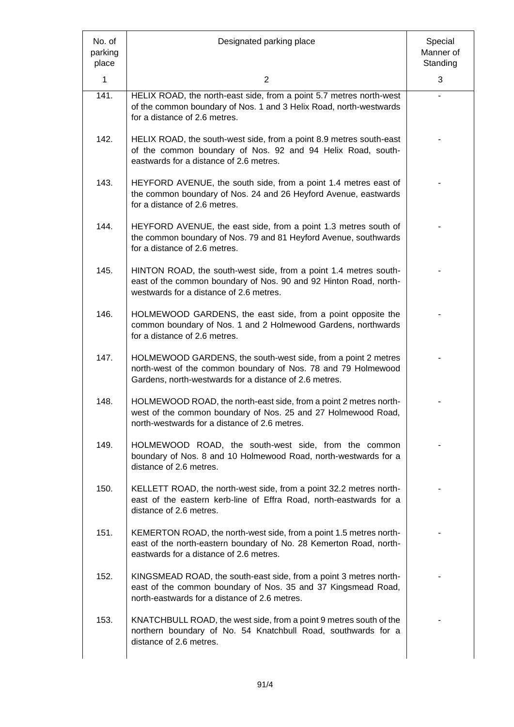| No. of<br>parking<br>place | Designated parking place                                                                                                                                                                 | Special<br>Manner of<br>Standing |
|----------------------------|------------------------------------------------------------------------------------------------------------------------------------------------------------------------------------------|----------------------------------|
| 1                          | $\overline{2}$                                                                                                                                                                           | 3                                |
| 141.                       | HELIX ROAD, the north-east side, from a point 5.7 metres north-west<br>of the common boundary of Nos. 1 and 3 Helix Road, north-westwards<br>for a distance of 2.6 metres.               |                                  |
| 142.                       | HELIX ROAD, the south-west side, from a point 8.9 metres south-east<br>of the common boundary of Nos. 92 and 94 Helix Road, south-<br>eastwards for a distance of 2.6 metres.            |                                  |
| 143.                       | HEYFORD AVENUE, the south side, from a point 1.4 metres east of<br>the common boundary of Nos. 24 and 26 Heyford Avenue, eastwards<br>for a distance of 2.6 metres.                      |                                  |
| 144.                       | HEYFORD AVENUE, the east side, from a point 1.3 metres south of<br>the common boundary of Nos. 79 and 81 Heyford Avenue, southwards<br>for a distance of 2.6 metres.                     |                                  |
| 145.                       | HINTON ROAD, the south-west side, from a point 1.4 metres south-<br>east of the common boundary of Nos. 90 and 92 Hinton Road, north-<br>westwards for a distance of 2.6 metres.         |                                  |
| 146.                       | HOLMEWOOD GARDENS, the east side, from a point opposite the<br>common boundary of Nos. 1 and 2 Holmewood Gardens, northwards<br>for a distance of 2.6 metres.                            |                                  |
| 147.                       | HOLMEWOOD GARDENS, the south-west side, from a point 2 metres<br>north-west of the common boundary of Nos. 78 and 79 Holmewood<br>Gardens, north-westwards for a distance of 2.6 metres. |                                  |
| 148.                       | HOLMEWOOD ROAD, the north-east side, from a point 2 metres north-<br>west of the common boundary of Nos. 25 and 27 Holmewood Road,<br>north-westwards for a distance of 2.6 metres.      |                                  |
| 149.                       | HOLMEWOOD ROAD, the south-west side, from the common<br>boundary of Nos. 8 and 10 Holmewood Road, north-westwards for a<br>distance of 2.6 metres.                                       |                                  |
| 150.                       | KELLETT ROAD, the north-west side, from a point 32.2 metres north-<br>east of the eastern kerb-line of Effra Road, north-eastwards for a<br>distance of 2.6 metres.                      |                                  |
| 151.                       | KEMERTON ROAD, the north-west side, from a point 1.5 metres north-<br>east of the north-eastern boundary of No. 28 Kemerton Road, north-<br>eastwards for a distance of 2.6 metres.      |                                  |
| 152.                       | KINGSMEAD ROAD, the south-east side, from a point 3 metres north-<br>east of the common boundary of Nos. 35 and 37 Kingsmead Road,<br>north-eastwards for a distance of 2.6 metres.      |                                  |
| 153.                       | KNATCHBULL ROAD, the west side, from a point 9 metres south of the<br>northern boundary of No. 54 Knatchbull Road, southwards for a<br>distance of 2.6 metres.                           |                                  |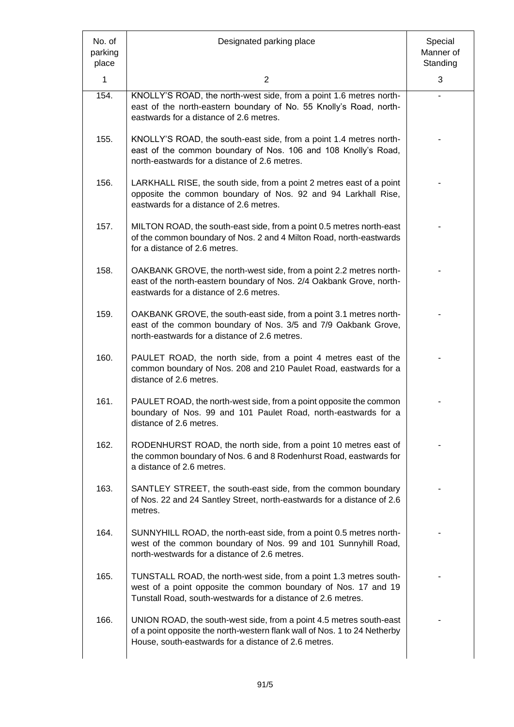| No. of<br>parking<br>place | Designated parking place                                                                                                                                                                                 | Special<br>Manner of<br>Standing |
|----------------------------|----------------------------------------------------------------------------------------------------------------------------------------------------------------------------------------------------------|----------------------------------|
| $\mathbf 1$                | $\overline{2}$                                                                                                                                                                                           | 3                                |
| 154.                       | KNOLLY'S ROAD, the north-west side, from a point 1.6 metres north-<br>east of the north-eastern boundary of No. 55 Knolly's Road, north-<br>eastwards for a distance of 2.6 metres.                      |                                  |
| 155.                       | KNOLLY'S ROAD, the south-east side, from a point 1.4 metres north-<br>east of the common boundary of Nos. 106 and 108 Knolly's Road,<br>north-eastwards for a distance of 2.6 metres.                    |                                  |
| 156.                       | LARKHALL RISE, the south side, from a point 2 metres east of a point<br>opposite the common boundary of Nos. 92 and 94 Larkhall Rise,<br>eastwards for a distance of 2.6 metres.                         |                                  |
| 157.                       | MILTON ROAD, the south-east side, from a point 0.5 metres north-east<br>of the common boundary of Nos. 2 and 4 Milton Road, north-eastwards<br>for a distance of 2.6 metres.                             |                                  |
| 158.                       | OAKBANK GROVE, the north-west side, from a point 2.2 metres north-<br>east of the north-eastern boundary of Nos. 2/4 Oakbank Grove, north-<br>eastwards for a distance of 2.6 metres.                    |                                  |
| 159.                       | OAKBANK GROVE, the south-east side, from a point 3.1 metres north-<br>east of the common boundary of Nos. 3/5 and 7/9 Oakbank Grove,<br>north-eastwards for a distance of 2.6 metres.                    |                                  |
| 160.                       | PAULET ROAD, the north side, from a point 4 metres east of the<br>common boundary of Nos. 208 and 210 Paulet Road, eastwards for a<br>distance of 2.6 metres.                                            |                                  |
| 161.                       | PAULET ROAD, the north-west side, from a point opposite the common<br>boundary of Nos. 99 and 101 Paulet Road, north-eastwards for a<br>distance of 2.6 metres.                                          |                                  |
| 162.                       | RODENHURST ROAD, the north side, from a point 10 metres east of<br>the common boundary of Nos. 6 and 8 Rodenhurst Road, eastwards for<br>a distance of 2.6 metres.                                       |                                  |
| 163.                       | SANTLEY STREET, the south-east side, from the common boundary<br>of Nos. 22 and 24 Santley Street, north-eastwards for a distance of 2.6<br>metres.                                                      |                                  |
| 164.                       | SUNNYHILL ROAD, the north-east side, from a point 0.5 metres north-<br>west of the common boundary of Nos. 99 and 101 Sunnyhill Road,<br>north-westwards for a distance of 2.6 metres.                   |                                  |
| 165.                       | TUNSTALL ROAD, the north-west side, from a point 1.3 metres south-<br>west of a point opposite the common boundary of Nos. 17 and 19<br>Tunstall Road, south-westwards for a distance of 2.6 metres.     |                                  |
| 166.                       | UNION ROAD, the south-west side, from a point 4.5 metres south-east<br>of a point opposite the north-western flank wall of Nos. 1 to 24 Netherby<br>House, south-eastwards for a distance of 2.6 metres. |                                  |